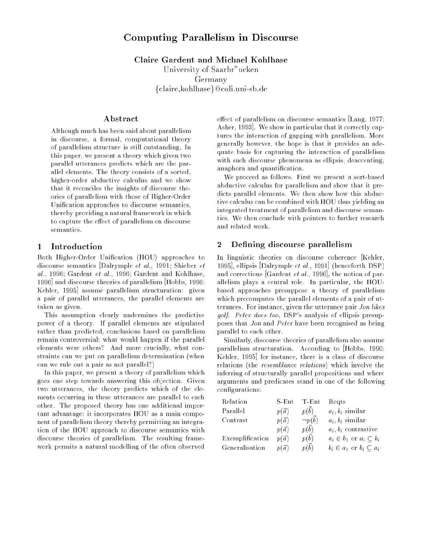# Computing Parallelism in Discourse

Claire Gardent and Michael Kohlhase

University of Saarbr"ucken Germany fclaire,kohlhaseg@coli.uni-sb.de

Although much has been said about parallelism in discourse, a formal, computational theory of parallelism structure is still outstanding. In this paper, we present a theory which given two parallel utterances predicts which are the parallel elements. The theory consists of a sorted, higher-order abductive calculus and we show that it reconciles the insights of discourse theories of parallelism with those of Higher-Order Unification approaches to discourse semantics, thereby providing a natural framework in which to capture the effect of parallelism on discourse

#### 1 Introduction

Both Higher-Order Unication (HOU) approaches to discourse semantics [Dalrymple et al., 1991; Shieber et al., 1996; Gardent et al., 1996; Gardent and Kohlhase, 1996] and discourse theories of parallelism [Hobbs, 1990; Kehler, 1995] assume parallelism structuration: given a pair of parallel utterances, the parallel elements are taken as given.

This assumption clearly undermines the predictive power of a theory. If parallel elements are stipulated rather than predicted, conclusions based on parallelism remain controversial: what would happen if the parallel elements were others? And more crucially, what constraints can we put on parallelism determination (when can we rule out a pair as not parallel?)

In this paper, we present a theory of parallelism which goes one step towards answering this objection. Given two utterances, the theory predicts which of the elements occurring in these utterances are parallel to each other. The proposed theory has one additional important advantage: it incorporates HOU as a main component of parallelism theory thereby permitting an integration of the HOU approach to discourse semantics with discourse theories of parallelism. The resulting framework permits a natural modelling of the often observed

effect of parallelism on discourse semantics  $\text{Lang}, 1977;$ Asher, 1993]. We show in particular that it correctly captures the interaction of gapping with parallelism. More generally however, the hope is that it provides an adequate basis for capturing the interaction of parallelism with such discourse phenomena as ellipsis, deaccenting, anaphora and quantication.

We proceed as follows. First we present a sort-based abductive calculus for parallelism and show that it predicts parallel elements. We then show how this abductive calculus can be combined with HOU thus yielding an integrated treatment of parallelism and discourse semantics. We then conclude with pointers to further research and related work.

## 2 Defining discourse parallelism

In linguistic theories on discourse coherence [Kehler, 1995], ellipsis [Dalrymple et al., 1991] (henceforth DSP) and corrections [Gardent *et al.*, 1996], the notion of parallelism plays a central role. In particular, the HOUbased approaches presuppose a theory of parallelism which precomputes the parallel elements of a pair of utterances. For instance, given the utterance pair Jon likes golf. Peter does too, DSP's analysis of ellipsis presupposes that Jon and Peter have been recognised as being parallel to each other.

Similarly, discourse theories of parallelism also assume parallelism structuration. According to [Hobbs, 1990; Kehler, 1995] for instance, there is a class of discourse relations (the resemblance relations) which involve the inferring of structurally parallel propositions and where arguments and predicates stand in one of the following configurations:

| Relation        | $S$ -Ent     | $T$ -Ent          | Regts                              |
|-----------------|--------------|-------------------|------------------------------------|
| Parallel        | $p(\vec{a})$ | p(b)              | $a_i, b_i$ similar                 |
| Contrast        | $p(\vec{a})$ | $\neg p(\vec{b})$ | $a_i, b_i$ similar                 |
|                 | $p(\vec{a})$ | $p(\vec{b})$      | $a_i, b_i$ contrastive             |
| Exemplification | $p(\vec{a})$ | $p(\vec{b})$      | $a_i \in b_1$ or $a_i \subset b_i$ |
| Generalisation  | $p(\vec{a})$ | $p(\vec{b})$      | $b_i \in a_1$ or $b_i \subset a_i$ |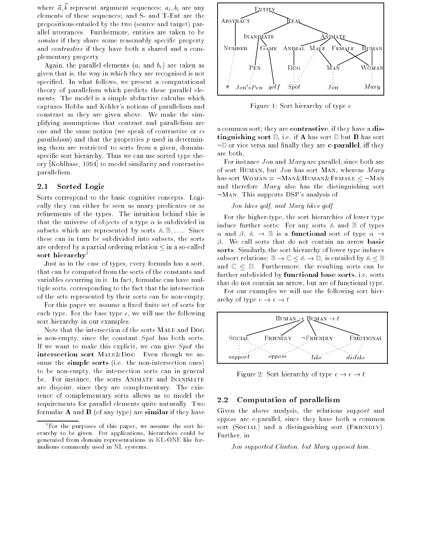where  $a, v$  represent argument sequences,  $a_i, v_i$  are any elements of these sequences; and S- and T-Ent are the propositions entailed by the two (source and target) parallel utterances. Furthermore, entities are taken to be similar if they share some reasonably specific property and contrastive if they have both a shared and a complementary property.

Again, the parallel elements  $(a_i \text{ and } b_i)$  are taken as given that is, the way in which they are recognised is not specified. In what follows, we present a computational theory of parallelism which predicts these parallel elements. The model is a simple abductive calculus which captures Hobbs and Kehler's notions of parallelism and constrast as they are given above. We make the simplifying assumptions that contrast and parallelism are one and the same notion (we speak of contrastive or cparallelism) and that the properties  $p$  used in determining them are restricted to sorts from a given, domainspecific sort hierarchy. Thus we can use sorted type theory [Kohlhase, 1994] to model similarity and contrastive parallelism.

#### 2.1 Sorted Logic

Sorts correspond to the basic cognitive concepts. Logically they can either be seen as unary predicates or as refinements of the types. The intuition behind this is that the universe of objects of a type  $\alpha$  is subdivided in subsets which are represented by sorts  $A, B, \ldots$ . Since these can in turn be subdivided into subsets, the sorts are ordered by a partial ordering relation  $\leq$  in a so-called sort hierarchy<sup>1</sup>

Just as in the case of types, every formula has a sort, that can be computed from the sorts of the constants and variables occurring in it. In fact, formulae can have multiple sorts, corresponding to the fact that the intersection of the sets represented by their sorts can be non-empty.

For this paper we assume a fixed finite set of sorts for each type. For the base type  $e$ , we will use the following sort hierarchy in our examples.

Note that the intersection of the sorts Male and Dog is non-empty, since the constant Spot has both sorts. If we want to make this explicit, we can give Spot the intersection sort Male&Dog. Even though we assume the simple sorts (i.e. the non-intersection ones) to be non-empty, the intersection sorts can in general be. For instance, the sorts ANIMATE and INANIMATE are disjoint, since they are complementary. The existence of complementary sorts allows us to model the requirements for parallel elements quite naturally. Two formulae  $A$  and  $B$  (of any type) are similar if they have



Figure 1: Sort hierarchy of type e

a common sort; they are contrastive, if they have a distinguishing sort  $D$ , i.e. if A has sort  $D$  but B has sort  $\neg$  or vice versa and finally they are **c-parallel**, iff they are both.

For instance *Jon* and *Mary* are parallel, since both are of sort HUMAN, but  $Jon$  has sort MAN, whereas  $Mary$ has sort  $W{\o}$  man  $= \neg M$  an & Human & Female  $\leq \neg M$  an and therefore  $Mary$  also has the distinguishing sort  $\neg$ MAN. This supports DSP's analysis of

#### Jon likes golf, and Mary likes golf.

For the higher-type, the sort hierarchies of lower type induce further sorts: For any sorts  $A$  and  $B$  of types  $\alpha$  and  $\beta$ ,  $\mathbb{A} \rightarrow \mathbb{B}$  is a **functional** sort of type  $\alpha \rightarrow$  $\beta$ . We call sorts that do not contain an arrow basic sorts. Similarly, the sort hierarchy of lower type induces subsort relations:  $\mathbb{B} \to \mathbb{C} \leq \mathbb{A} \to \mathbb{D}$ , is entailed by  $\mathbb{A} \leq \mathbb{B}$ and  $\mathbb{C} \leq \mathbb{D}$ . Furthermore, the resulting sorts can be further subdivided by functional base sorts, i.e. sorts that do not contain an arrow, but are of functional type.

For our examples we will use the following sort hierarchy of type  $e \rightarrow e \rightarrow t$ 



Figure 2: Sort hierarchy of type  $e \rightarrow e \rightarrow t$ 

#### $2.2$ Computation of parallelism

Given the above analysis, the relations support and oppose are c-parallel, since they have both a common sort (Social) and a distinguishing sort (FRIENDLY). Further, in

Jon supported Clinton, but Mary opposed him.

<sup>1</sup> For the purposes of this paper, we assume the sort hierarchy to be given. For applications, hierarchies could be generated from domain representations in KL-ONE like formalisms commonly used in NL systems.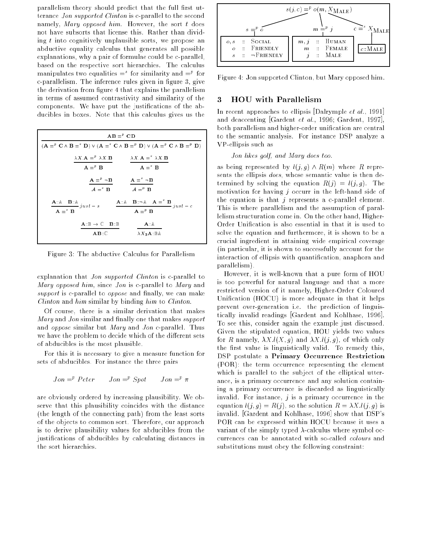parallelism theory should predict that the full first utterance Jon supported Clinton is c-parallel to the second namely, Mary opposed him. However, the sort  $t$  does not have subsorts that license this. Rather than dividing  $t$  into cognitively unplausible sorts, we propose an abductive equality calculus that generates all possible explanations, why a pair of formulae could be c-parallel, based on the respective sort hierarchies. The calculus manipulates two equalities  $=$  for similarity and  $=$  for c-parallelism. The inference rules given in figure 3, give the derivation from figure 4 that explains the parallelism in terms of assumed contrastivity and similarity of the components. We have put the justications of the abducibles in boxes. Note that this calculus gives us the

| $AB = PCD$                                                                                                                                                                                         |                                                                                                                                                                                                                                                                                                                                   |  |  |  |
|----------------------------------------------------------------------------------------------------------------------------------------------------------------------------------------------------|-----------------------------------------------------------------------------------------------------------------------------------------------------------------------------------------------------------------------------------------------------------------------------------------------------------------------------------|--|--|--|
| $(\mathbf{A} = \n\mathbf{C} \wedge \mathbf{B} = \n\mathbf{D}) \vee (\mathbf{A} = \n\mathbf{C} \wedge \mathbf{B} = \n\mathbf{D}) \vee (\mathbf{A} = \n\mathbf{C} \wedge \mathbf{B} = \n\mathbf{D})$ |                                                                                                                                                                                                                                                                                                                                   |  |  |  |
|                                                                                                                                                                                                    | $\lambda X \mathbf{A} =^p \lambda X \mathbf{B}$ $\lambda X \mathbf{A} =^s \lambda X \mathbf{B}$                                                                                                                                                                                                                                   |  |  |  |
| $A = P$ R                                                                                                                                                                                          | $A = \supseteq^s R$                                                                                                                                                                                                                                                                                                               |  |  |  |
| $A = P \neg B$<br>$A =^s \neg B$                                                                                                                                                                   |                                                                                                                                                                                                                                                                                                                                   |  |  |  |
| $A = \supseteq^s \mathbf{B}$<br>$A = P$ B                                                                                                                                                          |                                                                                                                                                                                                                                                                                                                                   |  |  |  |
| $\underbrace{\mathbf{A} \colon \mathbb{A} \quad \mathbf{B} \colon \mathbb{A}}_{j \, us \, t \; - \; s}$                                                                                            | $\mathbf{A}$ :: $\mathbf{A}$ $\mathbf{B}$ : $\neg \mathbf{A}$ $\mathbf{A}$ $\mathbf{A}$ $\mathbf{B}$ $\mathbf{B}$ $\mathbf{B}$ $\mathbf{B}$ $\mathbf{B}$ $\mathbf{B}$ $\mathbf{B}$ $\mathbf{B}$ $\mathbf{B}$ $\mathbf{B}$ $\mathbf{B}$ $\mathbf{B}$ $\mathbf{B}$ $\mathbf{B}$ $\mathbf{B}$ $\mathbf{B}$ $\mathbf{B}$ $\mathbf{B}$ |  |  |  |
| $A = \sup S$<br>$A = P B$                                                                                                                                                                          |                                                                                                                                                                                                                                                                                                                                   |  |  |  |
| $\mathbf{A} : \mathbb{B} \to \mathbb{C}$ $\mathbf{B} : \mathbb{B}$                                                                                                                                 | A: A                                                                                                                                                                                                                                                                                                                              |  |  |  |
| $\mathbf{A}\mathbf{B}$ : $\mathbb{C}$                                                                                                                                                              | $\lambda\,X_\mathbb{R}\mathbf{A}$ . B a                                                                                                                                                                                                                                                                                           |  |  |  |

Figure 3: The abductive Calculus for Parallelism

explanation that Jon supported Clinton is c-parallel to Mary opposed him, since Jon is c-parallel to Mary and support is c-parallel to *oppose* and finally, we can make Clinton and him similar by binding him to Clinton.

Of course, there is a similar derivation that makes Mary and Jon similar and finally one that makes support and oppose similar but Mary and Jon c-parallel. Thus we have the problem to decide which of the different sets of abducibles is the most plausible.

For this it is necessary to give a measure function for sets of abducibles. For instance the three pairs

$$
Jon = P \text{ } Peter \text{ } Jon = P \text{ } Spot \text{ } J \text{ } on = P \text{ } n
$$

are obviously ordered by increasing plausibility. We observe that this plausibility coincides with the distance (the length of the connecting path) from the least sorts of the objects to common sort. Therefore, our approach is to derive plausibility values for abducibles from the justications of abducibles by calculating distances in the sort hierarchies.



Figure 4: Jon supported Clinton, but Mary opposed him.

#### 3 3 HOU with Parallelism

In recent approaches to ellipsis [Dalrymple *et al.*, 1991] and deaccenting [Gardent et al., 1996; Gardent, 1997], both parallelism and higher-order unification are central to the semantic analysis. For instance DSP analyze a VP-ellipsis such as

#### Jon likes golf, and Mary does too.

as being represented by  $l(j, g) \wedge R(m)$  where R represents the ellipsis does, whose semantic value is then determined by solving the equation  $R(j) = l(j, q)$ . The motivation for having  $j$  occurr in the left-hand side of the equation is that  $j$  represents a c-parallel element. This is where parallelism and the assumption of parallelism structuration come in. On the other hand, Higher-Order Unication is also essential in that it is used to solve the equation and furthermore, it is shown to be a crucial ingredient in attaining wide empirical coverage (in particular, it is shown to successfully account for the interaction of ellipsis with quantication, anaphora and parallelism).

However, it is well-known that a pure form of HOU is too powerful for natural language and that a more restricted version of it namely, Higher-Order Coloured Unication (HOCU) is more adequate in that it helps prevent over-generation i.e. the prediction of linguistically invalid readings [Gardent and Kohlhase, 1996]. To see this, consider again the example just discussed. Given the stipulated equation, HOU yields two values for R namely,  $\lambda X.l(X,g)$  and  $\lambda X.l(j,g)$ , of which only the first value is linguistically valid. To remedy this, DSP postulate a Primary Occurrence Restriction (POR): the term occurrence representing the element which is parallel to the subject of the elliptical utterance, is a primary occurrence and any solution containing a primary occurrence is discarded as linguistically invalid. For instance,  $j$  is a primary occurrence in the equation  $l(j, g) = R(j)$ , so the solution  $R = \lambda X.l(j, g)$  is invalid. [Gardent and Kohlhase, 1996] show that DSP's POR can be expressed within HOCU because it uses a variant of the simply typed  $\lambda$ -calculus where symbol occurrences can be annotated with so-called colours and substitutions must obey the following constraint: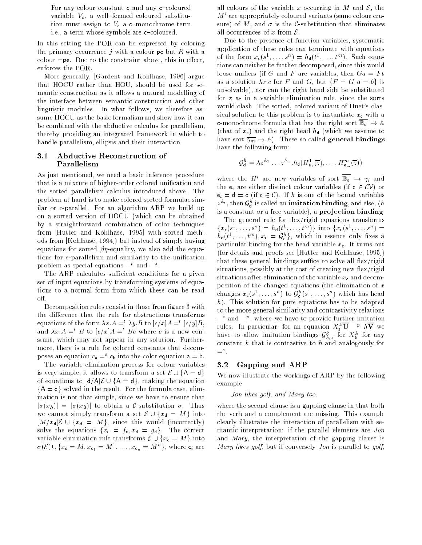For any colour constant c and any c-coloured variable  $V_c$ , a well-formed coloured substitution must assign to  $V_c$  a c-monochrome term i.e., a term whose symbols are c-coloured.

In this setting the POR can be expressed by coloring the primary occurrence j with a colour pe but R with a colour  $\neg$ pe. Due to the constraint above, this in effect, enforces the POR.

More generally, [Gardent and Kohlhase, 1996] argue that HOCU rather than HOU, should be used for semantic construction as it allows a natural modelling of the interface between semantic construction and other linguistic modules. In what follows, we therefore assume HOCU as the basic formalism and show how it can be combined with the abductive calculus for parallelism, thereby providing an integrated framework in which to handle parallelism, ellipsis and their interaction.

#### 3.1 Abductive Reconstruction of Parallelism

As just mentioned, we need a basic inference procedure that is a mixture of higher-order colored unication and the sorted parallelism calculus introduced above. The problem at hand is to make colored sorted formulae similar or c-parallel. For an algorithm ARP we build up on a sorted version of HOCU (which can be obtained by a straightforward combination of color techniques from [Hutter and Kohlhase, 1995] with sorted methods from [Kohlhase, 1994]) but instead of simply having equations for sorted  $\beta$ *n*-equality, we also add the equations for c-parallelism and similarity to the unification problem as special equations  $=^r$  and  $=^r$ .

The ARP calculates sufficient conditions for a given set of input equations by transforming systems of equations to a normal form from which these can be read off.

Decomposition rules consist in those from figure 3 with the difference that the rule for abstractions transforms equations of the form  $\lambda x.A =^* \lambda y.B$  to  $|c/x|A =^* |c/y|B$ , and  $\lambda x.A = t B$  to  $[c/x]A = t Bc$  where c is a new constant, which may not appear in any solution. Furthermore, there is a rule for colored constants that decomposes an equation  $c_a =^s c_b$  into the color equation  $a = b$ .

The variable elimination process for colour variables is very simple, it allows to transform a set  $\mathcal{E} \cup \{A = d\}$ of equations to  $[d/A]\mathcal{E} \cup \{A = d\}$ , making the equation  ${A = d}$  solved in the result. For the formula case, elimination is not that simple, since we have to ensure that  $|\sigma(x_A)| = |\sigma(x_B)|$  to obtain a C-substitution  $\sigma$ . Thus we cannot simply transform a set  $\mathcal{E} \cup \{x_{d} = M\}$  into  $[M/x_d]\mathcal{E} \cup \{x_d = M\}$ , since this would (incorrectly) solve the equations  $\{x_c = f_c, x_d = g_d\}$ . The correct variable elimination rule transforms  $\mathcal{E} \cup \{x_{d} = M\}$  into  $\sigma(\mathcal{E})\cup\{x_{\mathsf{d}}=M,x_{\mathsf{c}_1}=M^{\perp},\ldots,x_{\mathsf{c}_n}=M^{\perp\!}\},$  where  $\mathsf{c}_i$  are

all colours of the variable x occurring in M and  $\mathcal{E}$ , the M<sup>i</sup> are appropriately coloured variants (same colour erasure) of M, and  $\sigma$  is the C-substitution that eliminates all occurrences of x from  $\mathcal E$ .

Due to the presence of function variables, systematic application of these rules can terminate with equations of the form  $x_{c}(s^{\dagger}, \ldots, s^{\dagger}) = n_{d}(t^{\dagger}, \ldots, t^{\dagger})$ . Such equations can neither be further decomposed, since this would loose unifiers (if G and F are variables, then  $Ga = Fb$ as a solution  $\lambda x.c$  for F and G, but  $\{F = G, a = b\}$  is unsolvable), nor can the right hand side be substituted for  $x$  as in a variable elimination rule, since the sorts would clash. The sorted, colored variant of Huet's classical solution to this problem is to instantiate  $x_c$  with a **c**-monochrome formula that has the right sort  $\mathbb{B}_n \to \mathbb{A}$ (that of  $x_c$ ) and the right head  $h_d$  (which we assume to have sort  $\overline{\gamma_m} \to \mathbb{A}$ . These so-called general bindings have the following form:

$$
\mathcal{G}_{\mathbf{d}}^{h} = \lambda z^{\mathbb{A}_{1}} \dots z^{\mathbb{A}_{n}}.h_{\mathbf{d}}(H_{\mathbf{e}_{1}}^{1}(\overline{z}), \dots, H_{\mathbf{e}_{m}}^{m}(\overline{z}))
$$

where the  $H^i$  are new variables of sort  $\mathbb{B}_n \to \gamma_i$  and the  $e_i$  are either distinct colour variables (if  $c \in CV$ ) or  $e_i = d = c$  (if  $c \in C$ ). If h is one of the bound variables  $z^{\mathbb{A}_i}$  , then  $\mathcal{G}^h_{\mathsf{d}}$  is called an **imitation binding**, and else,  $(h)$ is a constant or a free variable), a projection binding.

The general rule for flex/rigid equations transforms  $\{x_{c}(s^{-},...,s^{-}) = n_{d}(t^{-},...,t^{--})\}\$  into  $\{x_{c}(s^{-},...,s^{-}) =$  $n_{\mathsf{d}}(\iota^-,\ldots,\iota^{...}), x_{\mathsf{c}}\,=\, {\mathsf{y}}_{\mathsf{c}}^-$  ), which in essence only fixes a particular binding for the head variable  $x_c$ . It turns out (for details and proofs see [Hutter and Kohlhase, 1995]) that these general bindings suffice to solve all flex/rigid situations, possibly at the cost of creating new flex/rigid situations after elimination of the variable  $x_c$  and decomposition of the changed equations (the elimination of  $x$ changes  $x_c(s^-, \ldots, s^-)$  to  $\mathcal{G}_c^-(s^-, \ldots, s^-)$  which has head h). This solution for pure equations has to be adapted to the more general similarity and contrastivity relations  $=$  and  $=r$  , where we have to provide further imitation rules. In particular, for an equation  $X^{\mathbb{A}}_{\mathbf{a}}\overline{\mathbf{U}} \, \stackrel{=}{=}^p \, h\overline{\mathbf{V}}$  we have to allow imitation bindings  $\mathcal{G}^k_{\mathbb{A} \, \mathsf{a}}$  for  $X^\mathbb{A} \,$  for any constant  $k$  that is contrastive to  $h$  and analogously for  $=$  .

### 3.2 Gapping and ARP

We now illustrate the workings of ARP by the following example

#### Jon likes golf, and Mary too.

where the second clause is a gapping clause in that both the verb and a complement are missing. This example clearly illustrates the interaction of parallelism with semantic interpretation: if the parallel elements are Jon and Mary, the interpretation of the gapping clause is Mary likes golf, but if conversely Jon is parallel to golf,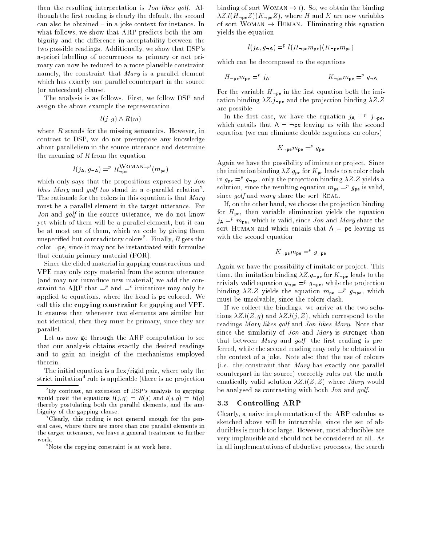then the resulting interpretation is Jon likes golf. Although the first reading is clearly the default, the second can also be obtained - in a joke context for instance. In what follows, we show that ARP predicts both the ambiguity and the difference in acceptability between the two possible readings. Additionally, we show that DSP's a-priori labelling of occurrences as primary or not primary can now be reduced to a more plausible constraint namely, the constraint that Mary is a parallel element which has exactly one parallel counterpart in the source (or antecedent) clause.

The analysis is as follows. First, we follow DSP and assign the above example the representation

$$
l(j,g)\wedge R(m)
$$

where  $R$  stands for the missing semantics. However, in contrast to DSP, we do not presuppose any knowledge about parallelism in the source utterance and determine the meaning of  $R$  from the equation

$$
l(j_{\mathsf{A}}, g_{\neg \mathsf{A}}) =^p R_{\neg \mathsf{pe}}^{\mathsf{WOMAN} \to t}(m_{\mathsf{pe}})
$$

which only says that the propositions expressed by *Jon*  $\it{u}$ kes Mary and  $\it{q}$ our too stand in a c-parallel relation . The rationale for the colors in this equation is that  $Mary$ must be a parallel element in the target utterance. For Jon and golf in the source utterance, we do not know yet which of them will be a parallel element, but it can be at most one of them, which we code by giving them unspecified but contradictory colors". Finally, R gets the color  $\neg$  pe, since it may not be instantiated with formulae that contain primary material (POR).

Since the elided material in gapping constructions and VPE may only copy material from the source utterance (and may not introduce new material) we add the constraint to ARP that  $\equiv^p$  and  $\equiv^s$  imitations may only be applied to equations, where the head is pe-colored. We call this the copying constraint for gapping and VPE. It ensures that whenever two elements are similar but not identical, then they must be primary, since they are parallel.

Let us now go through the ARP computation to see that our analysis obtains exactly the desired readings and to gain an insight of the mechanisms employed therein.

The initial equation is a flex/rigid pair, where only the strict imitation <sup>-</sup> rule is applicable (there is no projection binding of sort WOMAN  $\rightarrow$  t). So, we obtain the binding  $\lambda Z.l(H_{\neg \text{pe}}Z)(K_{\neg \text{pe}}Z)$ , where H and K are new variables of sort WOMAN  $\rightarrow$  HUMAN. Eliminating this equation yields the equation

$$
l(j_{\mathsf{A}}, g_{\neg \mathsf{A}}) =^p l(H_{\neg \mathsf{pe}} m_{\mathsf{pe}})(K_{\neg \mathsf{pe}} m_{\mathsf{pe}})
$$

which can be decomposed to the equations

$$
H_{\neg \mathbf{p} \mathbf{e}} m_{\mathbf{p} \mathbf{e}} =^p j_{\mathbf{A}}
$$
\n
$$
K_{\neg \mathbf{p} \mathbf{e}} m_{\mathbf{p} \mathbf{e}} =^p g_{\neg \mathbf{A}}
$$

For the variable  $H_{\neg p e}$  in the first equation both the imitation binding  $\lambda Z$   $j_{\text{pe}}$  and the projection binding  $\lambda Z.Z$ are possible.

In the first case, we have the equation  $j_A = r_j - p_e$ , which entails that  $A = \neg pe$  leaving us with the second equation (we can eliminate double negations on colors)

$$
K_{\neg \mathsf{p}\mathsf{e}}m_{\mathsf{p}\mathsf{e}} =^p g_{\mathsf{p}\mathsf{e}}
$$

Again we have the possibility of imitate or project. Since the imitation binding  $\lambda Z.g_{\text{pe}}$  for  $K_{\text{pe}}$  leads to a color clash in  $g_{\textsf{pe}}\equiv^r g_{\textsf{ppe}},$  only the projection binding  $\lambda Z.Z$  yields a solution, since the resulting equation  $m_{\mathsf{pe}} =^{\scriptscriptstyle{F}} g_{\mathsf{pe}}$  is valid, since  $g \circ \text{if and } \text{mary share the sort REAL.}$ 

If, on the other hand, we choose the projection binding for  $H_{\text{pe}}$ , then variable elimination yields the equation  $j_{\mathsf{A}} =^p m_{\mathsf{pe}}$ , which is valid, since *Jon* and *Mary* share the sort HUMAN and which entails that  $A =$  pe leaving us with the second equation

$$
K_{\neg \mathbf{p} \cdot \mathbf{e}} m_{\mathbf{p} \cdot \mathbf{e}} =^p g_{\neg \mathbf{p} \cdot \mathbf{e}}
$$

Again we have the possibility of imitate or project. This time, the imitation binding  $\lambda Z.g_{\text{pe}}$  for  $K_{\text{pe}}$  leads to the trivialy valid equation  $g_{\neg \textbf{pe}} = g_{\neg \textbf{pe}},$  while the projection binding  $\lambda Z.Z$  yields the equation  $m_{pe} = g_{\neg pe}$ , which must be unsolvable, since the colors clash.

If we collect the bindings, we arrive at the two solutions  $\lambda Z.l(Z,g)$  and  $\lambda Z.l(j,Z)$ , which correspond to the readings Mary likes golf and Jon likes Mary. Note that since the similarity of Jon and Mary is stronger than that between  $Mary$  and  $golf$ , the first reading is preferred, while the second reading may only be obtained in the context of a joke. Note also that the use of colours (i.e. the constraint that Mary has exactly one parallel counterpart in the source) correctly rules out the mathematically valid solution  $\lambda Z.l(Z, Z)$  where Mary would be analysed as contrasting with both Jon and golf.

#### 3.3 Controlling ARP

Clearly, a naive implementation of the ARP calculus as sketched above will be intractable, since the set of abducibles is much too large. However, most abducibles are very implausible and should not be considered at all. As in all implementations of abductive processes, the search

 $\rm ^2Bv$  contrast, an extension of DSP's analysis to gapping would posit the equations l(j) g) = R(j) and l(j) g) = R(g) thereby postulating both the parallel elements, and the ambiguity of the gapping clause.

<sup>3</sup> Clearly, this coding is not general enough for the general case, where there are more than one parallel elements in the target utterance, we leave a general treatment to further work.

<sup>4</sup> Note the copying constraint is at work here.